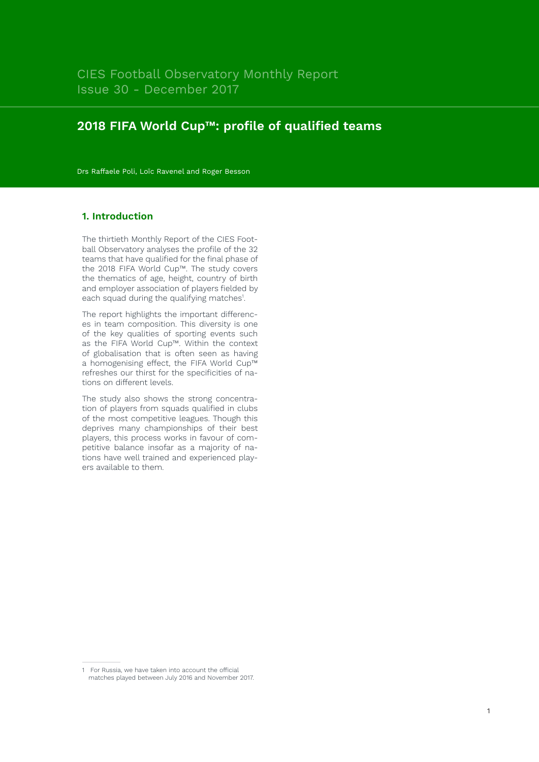# **2018 FIFA World Cup™: profile of qualified teams**

Drs Raffaele Poli, Loïc Ravenel and Roger Besson

## **1. Introduction**

The thirtieth Monthly Report of the CIES Football Observatory analyses the profile of the 32 teams that have qualified for the final phase of the 2018 FIFA World Cup™. The study covers the thematics of age, height, country of birth and employer association of players fielded by each squad during the qualifying matches<sup>1</sup>.

The report highlights the important differences in team composition. This diversity is one of the key qualities of sporting events such as the FIFA World Cup™. Within the context of globalisation that is often seen as having a homogenising effect, the FIFA World Cup™ refreshes our thirst for the specificities of nations on different levels.

The study also shows the strong concentration of players from squads qualified in clubs of the most competitive leagues. Though this deprives many championships of their best players, this process works in favour of competitive balance insofar as a majority of nations have well trained and experienced players available to them.

1

<sup>1</sup> For Russia, we have taken into account the official matches played between July 2016 and November 2017.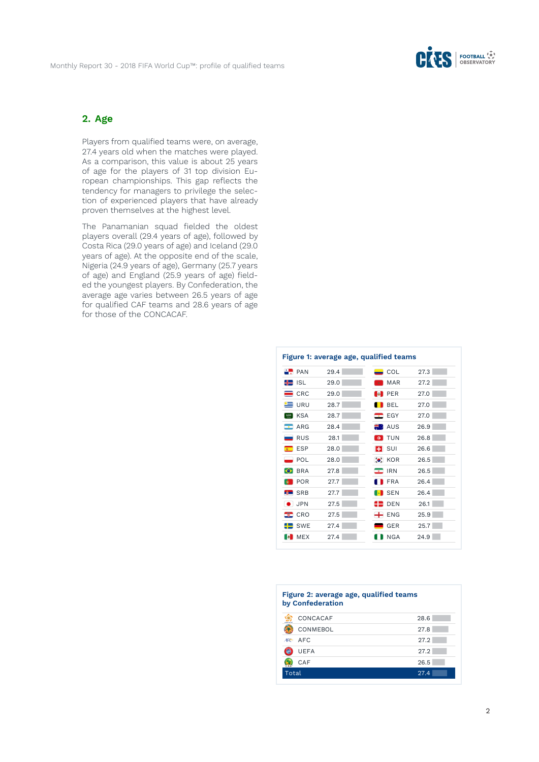

## **2. Age**

Players from qualified teams were, on average, 27.4 years old when the matches were played. As a comparison, this value is about 25 years of age for the players of 31 top division European championships. This gap reflects the tendency for managers to privilege the selection of experienced players that have already proven themselves at the highest level.

The Panamanian squad fielded the oldest players overall (29.4 years of age), followed by Costa Rica (29.0 years of age) and Iceland (29.0 years of age). At the opposite end of the scale, Nigeria (24.9 years of age), Germany (25.7 years of age) and England (25.9 years of age) fielded the youngest players. By Confederation, the average age varies between 26.5 years of age for qualified CAF teams and 28.6 years of age for those of the CONCACAF.

| $\therefore$ PAN                       | Figure 1: average age, qualified teams<br>29.4 | $\equiv$ COL                       | 27.3 |
|----------------------------------------|------------------------------------------------|------------------------------------|------|
| <del>¶≣</del> isl                      | 29.0                                           | <b>MAR</b><br><b>女</b>             | 27.2 |
| CRC                                    | 29.0                                           | <b>PER</b><br><b>B</b>             | 27.0 |
| URU                                    | 28.7                                           | <b>BEL</b>                         | 27.0 |
| <b>KSA</b><br>$\overline{\mathcal{Z}}$ | 28.7                                           | $E$ EGY                            | 27.0 |
| $\blacksquare$ ARG                     | 28.4                                           | <b>NO AUS</b>                      | 26.9 |
| $\blacksquare$ RUS                     | 28.1                                           | <b>TUN</b><br>$\circ$              | 26.8 |
| $\epsilon$ ESP                         | 28.0                                           | $\blacksquare$ SUI                 | 26.6 |
| POL                                    | 28.0                                           | $\bullet$ KOR                      | 26.5 |
| <b>BRA</b><br>$\bullet$                | 27.8                                           | <b>IRN</b><br>$\bullet$            | 26.5 |
| POR<br>$\ddot{\mathbf{e}}$             | 27.7                                           | <b>FRA</b>                         | 26.4 |
| <b>SRB</b><br>EÑ.                      | 27.7                                           | $\blacksquare$ SEN<br>$\mathbb{R}$ | 26.4 |
| <b>JPN</b>                             | 27.5                                           | 92<br><b>DEN</b>                   | 26.1 |
| CRO<br>÷                               | 27.5                                           | $\div$ ENG                         | 25.9 |
| <b>SWE</b>                             | 27.4                                           | <b>GER</b>                         | 25.7 |
| <b>MEX</b><br>B.                       | 27.4                                           | <b>NGA</b>                         | 24.9 |

#### **Figure 2: average age, qualified teams by Confederation**

| CONCACAF    | 28.6 |
|-------------|------|
| CONMEBOL    | 27.8 |
| AFC AFC     | 27.2 |
| <b>UEFA</b> | 27.2 |
| CAF         | 26.5 |
| Total       | 27.4 |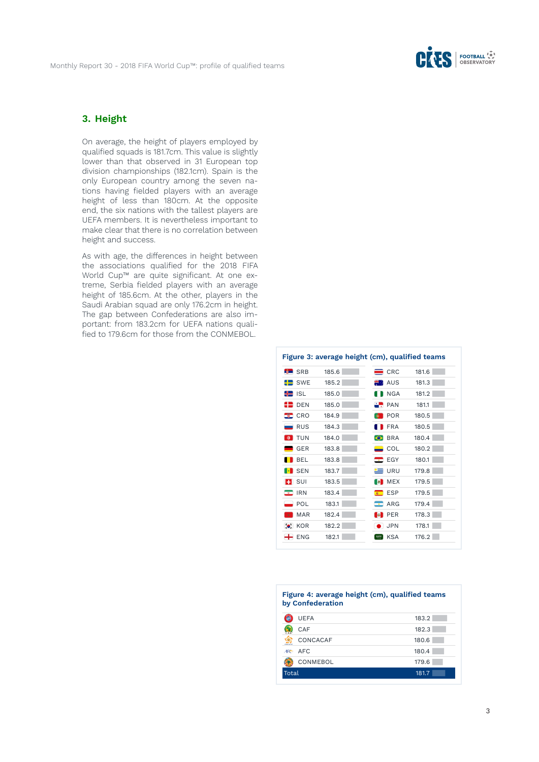

# **3. Height**

On average, the height of players employed by qualified squads is 181.7cm. This value is slightly lower than that observed in 31 European top division championships (182.1cm). Spain is the only European country among the seven nations having fielded players with an average height of less than 180cm. At the opposite end, the six nations with the tallest players are UEFA members. It is nevertheless important to make clear that there is no correlation between height and success.

As with age, the differences in height between the associations qualified for the 2018 FIFA World Cup™ are quite significant. At one extreme, Serbia fielded players with an average height of 185.6cm. At the other, players in the Saudi Arabian squad are only 176.2cm in height. The gap between Confederations are also important: from 183.2cm for UEFA nations qualified to 179.6cm for those from the CONMEBOL.

|                         | Figure 3: average height (cm), qualified teams |                                   |       |
|-------------------------|------------------------------------------------|-----------------------------------|-------|
| <b>SRB</b> SRB          | 185.6                                          | $=$ CRC                           | 181.6 |
| $\blacksquare$ SWE      | 185.2                                          | <b>No. 405</b>                    | 181.3 |
| <del>‼</del> ISL        | 185.0                                          | <b>NGA</b>                        | 181.2 |
| $\blacksquare$ Den      | 185.0                                          | $\frac{1}{2}$ PAN                 | 181.1 |
| $\equiv$ CRO            | 184.9                                          | <b>POR</b><br>$\ddot{\mathbf{0}}$ | 180.5 |
| RUS                     | 184.3                                          | <b>FRA</b>                        | 180.5 |
| <b>O</b> TUN            | 184.0                                          | <b>S</b> BRA                      | 180.4 |
| <b>GER</b>              | 183.8                                          | $\overline{\phantom{0}}$ COL      | 180.2 |
| BEL                     | 183.8                                          | $\blacksquare$ EGY                | 180.1 |
| <b>EX</b> SEN           | 183.7                                          | $=$ URU                           | 179.8 |
| $\blacksquare$ SUI      | 183.5                                          | <b>B</b> MEX                      | 179.5 |
| <b>IRN</b><br>$\bullet$ | 183.4                                          | <b>ESP</b><br>安一                  | 179.5 |
| POL                     | 183.1                                          | ARG<br>┳                          | 179.4 |
| <b>MAR</b><br><b>女</b>  | 182.4                                          | <b>B</b><br>PER                   | 178.3 |
| $\bullet$ KOR           | 182.2                                          | $\bullet$ JPN                     | 178.1 |
| $+$ ENG                 | 182.1                                          | <b>KSA</b><br>2888                | 176.2 |

| Figure 4: average height (cm), qualified teams<br>by Confederation |       |  |
|--------------------------------------------------------------------|-------|--|
| <b>UEFA</b>                                                        | 183.2 |  |
| CAF                                                                | 182.3 |  |
| CONCACAF                                                           | 180.6 |  |
| AFC.<br>AFC <sub>3</sub>                                           | 180.4 |  |
| CONMEBOL                                                           | 179.6 |  |
| Total                                                              | 181.7 |  |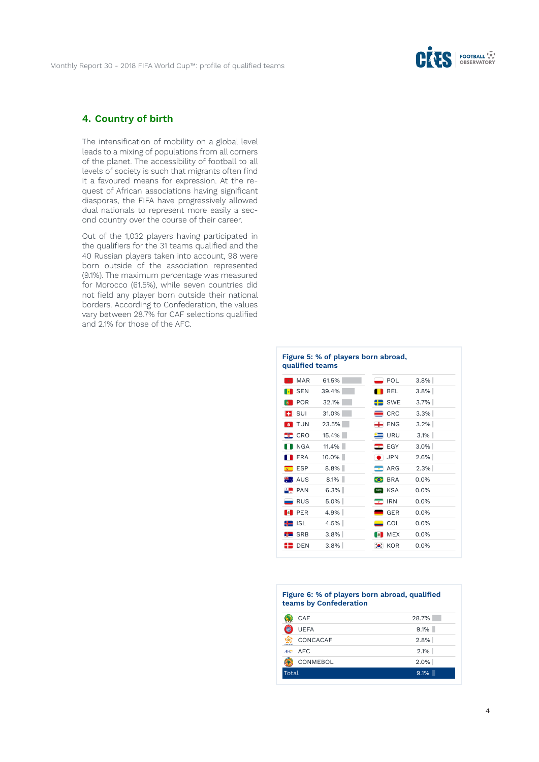

## **4. Country of birth**

The intensification of mobility on a global level leads to a mixing of populations from all corners of the planet. The accessibility of football to all levels of society is such that migrants often find it a favoured means for expression. At the request of African associations having significant diasporas, the FIFA have progressively allowed dual nationals to represent more easily a second country over the course of their career.

Out of the 1,032 players having participated in the qualifiers for the 31 teams qualified and the 40 Russian players taken into account, 98 were born outside of the association represented (9.1%). The maximum percentage was measured for Morocco (61.5%), while seven countries did not field any player born outside their national borders. According to Confederation, the values vary between 28.7% for CAF selections qualified and 2.1% for those of the AFC.

| qualified teams         | Figure 5: % of players born abroad, |                         |         |
|-------------------------|-------------------------------------|-------------------------|---------|
| <b>MAR</b>              | 61.5%                               | POL                     | $3.8\%$ |
| SEN                     | 39.4%                               | <b>BEL</b>              | $3.8\%$ |
| <b>POR</b><br>$\bullet$ | 32.1%                               | $\blacksquare$ SWE      | $3.7\%$ |
| $\blacksquare$ SUI      | 31.0%                               | $=$ CRC                 | 3.3%    |
| <b>O</b> TUN            | 23.5%                               | $\div$ ENG              | $3.2\%$ |
| $\equiv$ CRO            | 15.4%                               | <b>E</b> URU            | $3.1\%$ |
| I NGA                   | $11.4\%$                            | $E$ EGY                 | $3.0\%$ |
| <b>FRA</b>              | $10.0\%$                            | $\bullet$ JPN           | $2.6\%$ |
| $\epsilon$ ESP          | $8.8\%$                             | $\blacksquare$ ARG      | 2.3%    |
| <b>NE AUS</b>           | 8.1%                                | <b>O</b> BRA            | 0.0%    |
| $\therefore$ PAN        | 6.3%                                | <b>ESRIEL KSA</b>       | 0.0%    |
| $\blacksquare$ RUS      | $5.0\%$                             | <b>IRN</b><br>$\bullet$ | 0.0%    |
| <b>B</b> PER            | 4.9%                                | <b>GER</b>              | 0.0%    |
| <del>‼</del> ISL        | 4.5%                                | $\equiv$ COL            | $0.0\%$ |
| <b>R</b> SRB            | $3.8\%$                             | <b>B</b> MEX            | 0.0%    |
| <b>DEN</b><br>--        | $3.8\%$                             | $\bullet$ KOR           | $0.0\%$ |

#### **Figure 6: % of players born abroad, qualified teams by Confederation**

| CAF           | 28.7%   |
|---------------|---------|
| <b>UEFA</b>   | $9.1\%$ |
| CONCACAF<br>œ | $2.8\%$ |
| AFC AFC       | $2.1\%$ |
| CONMEBOL      | $2.0\%$ |
| Total         | $9.1\%$ |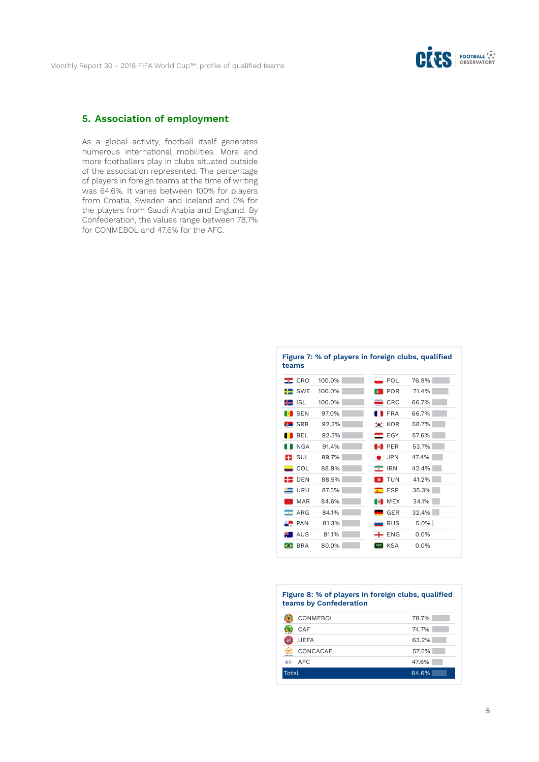

# **5. Association of employment**

As a global activity, football itself generates numerous international mobilities. More and more footballers play in clubs situated outside of the association represented. The percentage of players in foreign teams at the time of writing was 64.6%. It varies between 100% for players from Croatia, Sweden and Iceland and 0% for the players from Saudi Arabia and England. By Confederation, the values range between 78.7% for CONMEBOL and 47.6% for the AFC.

| teams                                       |        | Figure 7: % of players in foreign clubs, qualified |         |
|---------------------------------------------|--------|----------------------------------------------------|---------|
| $\blacksquare$ CRO                          | 100.0% | POL                                                | 76.9%   |
| $\leftarrow$ SWE                            | 100.0% | <b>POR</b>                                         | 71.4%   |
| <del>‼</del> ISL                            | 100.0% | $=$ CRC                                            | 66.7%   |
| <b>EX</b> SEN                               | 97.0%  | <b>FRA</b>                                         | 66.7%   |
| <b>SRB</b>                                  | 92.3%  | $\bullet$ KOR                                      | 58.7%   |
| <b>BEL</b>                                  | 92.3%  | EGY                                                | 57.6%   |
| NGA                                         | 91.4%  | <b>B</b> PER                                       | 53.7%   |
| $\blacksquare$ SUI                          | 89.7%  | <b>JPN</b>                                         | 47.4%   |
| $\equiv$ COL                                | 88.9%  | <b>IRN</b><br>$\bullet$                            | 42.4%   |
| ER DEN                                      | 88.5%  | TUN<br>$\circ$                                     | 41.2%   |
| $\equiv$ URU                                | 87.5%  | $\epsilon$ ESP                                     | 35.3%   |
| <b>MAR</b><br>$\mathcal{R}^{\mathcal{A}}$ . | 84.6%  | <b>B</b> MEX                                       | 34.1%   |
| $\blacksquare$ ARG                          | 84.1%  | <b>GER</b>                                         | 32.4%   |
| $\frac{1}{2}$ PAN                           | 81.3%  | RUS                                                | $5.0\%$ |
| <b>NEW AUS</b>                              | 81.1%  | $\leftarrow$ ENG                                   | 0.0%    |
| <b>BRA</b>                                  | 80.0%  | <b>KSA</b><br>$580\%$                              | 0.0%    |
|                                             |        |                                                    |         |

#### **Figure 8: % of players in foreign clubs, qualified teams by Confederation**

| CONMEBOL      | 78.7% |
|---------------|-------|
| CAF           | 74.7% |
| <b>UEFA</b>   | 63.2% |
| CONCACAF<br>ю | 57.5% |
| AFC AFC       | 47.6% |
| Total         | 64.6% |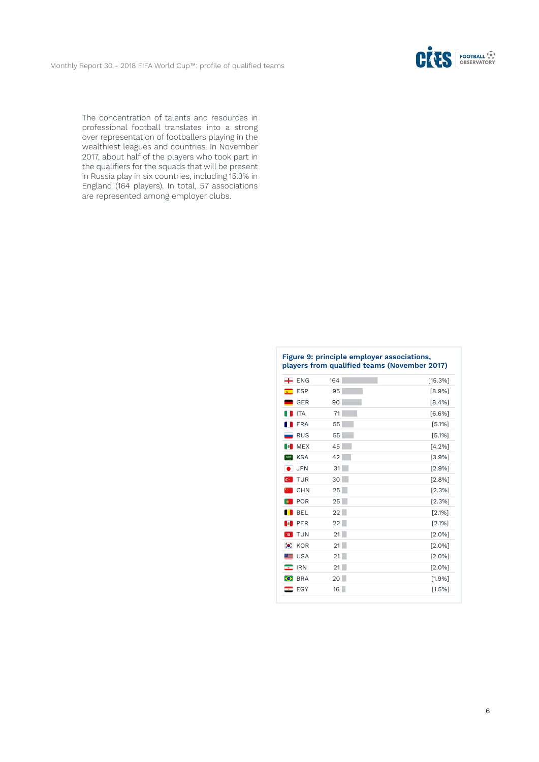

The concentration of talents and resources in professional football translates into a strong over representation of footballers playing in the wealthiest leagues and countries. In November 2017, about half of the players who took part in the qualifiers for the squads that will be present in Russia play in six countries, including 15.3% in England (164 players). In total, 57 associations are represented among employer clubs.

| $\leftarrow$ ENG                  | 164    | [15.3%]   |
|-----------------------------------|--------|-----------|
| ESP                               | 95     | $[8.9\%]$ |
| $\blacksquare$ GER                | 90     | [8.4%]    |
| <b>ITA</b>                        | 71     | [6.6%]    |
| FRA                               | 55     | [5.1%]    |
| <b>RUS</b>                        | 55     | [5.1%]    |
| <b>B</b> MEX                      | 45     | [4.2%]    |
| <b>KSA</b><br>2885                | 42     | [3.9%]    |
| <b>JPN</b>                        | 31     | [2.9%]    |
| <b>C</b> TUR                      | 30     | [2.8%]    |
| $\blacksquare$ CHN                | 25     | [2.3%]    |
| <b>POR</b><br>$\ddot{\mathbf{e}}$ | 25     | [2.3%]    |
| <b>BEL</b>                        | 22     | [2.1%]    |
| <b>PER</b><br><b>B</b>            | 22     | [2.1%]    |
| <b>O</b> TUN                      | 21     | [2.0%]    |
| $\bullet$ KOR                     | 21     | $[2.0\%]$ |
| $\equiv$ USA                      | 21     | $[2.0\%]$ |
| $\bullet$ IRN                     | 21     | $[2.0\%]$ |
| <b>C</b> BRA                      | $20-1$ | [1.9%]    |
| $\blacksquare$ EGY                | 16     | [1.5%]    |